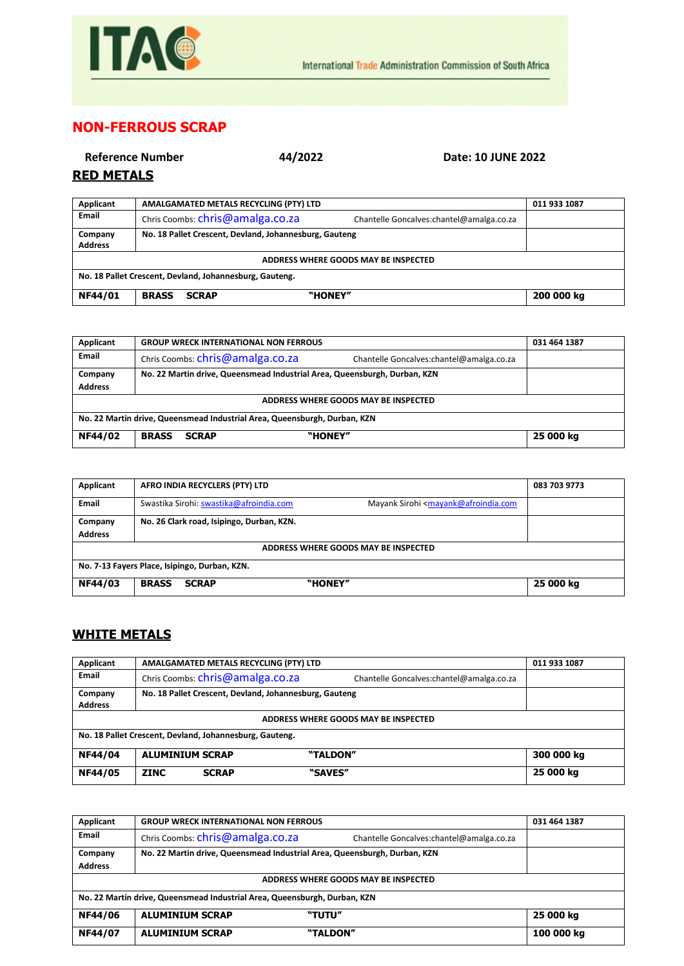

## **NON-FERROUS SCRAP**

| <b>RED METALS</b>         | 44/2022<br><b>Reference Number</b>                     | Date: 10 JUNE 2022                        |              |
|---------------------------|--------------------------------------------------------|-------------------------------------------|--------------|
| Applicant                 | AMALGAMATED METALS RECYCLING (PTY) LTD                 |                                           | 011 933 1087 |
| <b>Email</b>              | Chris Coombs: chris@amalga.co.za                       | Chantelle Goncalves: chantel@amalga.co.za |              |
| Company<br><b>Address</b> | No. 18 Pallet Crescent, Devland, Johannesburg, Gauteng |                                           |              |

| ADDRESS WHERE GOODS MAY BE INSPECTED                             |  |  |  |  |  |
|------------------------------------------------------------------|--|--|--|--|--|
| No. 18 Pallet Crescent, Devland, Johannesburg, Gauteng.          |  |  |  |  |  |
| NF44/01<br>"HONEY"<br>200 000 kg<br><b>BRASS</b><br><b>SCRAP</b> |  |  |  |  |  |

| Applicant                                                                 | <b>GROUP WRECK INTERNATIONAL NON FERROUS</b>                                 | 031 464 1387 |  |
|---------------------------------------------------------------------------|------------------------------------------------------------------------------|--------------|--|
| Email                                                                     | Chris Coombs: chris@amalga.co.za<br>Chantelle Goncalves:chantel@amalga.co.za |              |  |
| Company                                                                   | No. 22 Martin drive, Queensmead Industrial Area, Queensburgh, Durban, KZN    |              |  |
| <b>Address</b>                                                            |                                                                              |              |  |
| ADDRESS WHERE GOODS MAY BE INSPECTED                                      |                                                                              |              |  |
| No. 22 Martin drive, Queensmead Industrial Area, Queensburgh, Durban, KZN |                                                                              |              |  |
| NF44/02                                                                   | "HONEY"<br><b>BRASS</b><br><b>SCRAP</b>                                      | 25 000 kg    |  |

| Applicant                                     | AFRO INDIA RECYCLERS (PTY) LTD                                                                                          | 083 703 9773 |  |
|-----------------------------------------------|-------------------------------------------------------------------------------------------------------------------------|--------------|--|
| <b>Email</b>                                  | Swastika Sirohi: swastika@afroindia.com<br>Mayank Sirohi <mayank@afroindia.com< th=""><th></th></mayank@afroindia.com<> |              |  |
| Company                                       | No. 26 Clark road, Isipingo, Durban, KZN.                                                                               |              |  |
| <b>Address</b>                                |                                                                                                                         |              |  |
| ADDRESS WHERE GOODS MAY BE INSPECTED          |                                                                                                                         |              |  |
| No. 7-13 Fayers Place, Isipingo, Durban, KZN. |                                                                                                                         |              |  |
| NF44/03                                       | "HONEY"<br><b>SCRAP</b><br><b>BRASS</b>                                                                                 | 25 000 kg    |  |

## **WHITE METALS**

| Applicant                                               |                        | AMALGAMATED METALS RECYCLING (PTY) LTD |                                                        |                                          | 011 933 1087 |
|---------------------------------------------------------|------------------------|----------------------------------------|--------------------------------------------------------|------------------------------------------|--------------|
| <b>Email</b>                                            |                        | Chris Coombs: chris@amalga.co.za       |                                                        | Chantelle Goncalves:chantel@amalga.co.za |              |
| Company                                                 |                        |                                        | No. 18 Pallet Crescent, Devland, Johannesburg, Gauteng |                                          |              |
| <b>Address</b>                                          |                        |                                        |                                                        |                                          |              |
| ADDRESS WHERE GOODS MAY BE INSPECTED                    |                        |                                        |                                                        |                                          |              |
| No. 18 Pallet Crescent, Devland, Johannesburg, Gauteng. |                        |                                        |                                                        |                                          |              |
| NF44/04                                                 | <b>ALUMINIUM SCRAP</b> |                                        | "TALDON"                                               |                                          | 300 000 kg   |
| NF44/05                                                 | <b>ZINC</b>            | <b>SCRAP</b>                           | "SAVES"                                                |                                          | 25 000 kg    |

| Applicant                                                                 | <b>GROUP WRECK INTERNATIONAL NON FERROUS</b>                              |                                          | 031 464 1387 |
|---------------------------------------------------------------------------|---------------------------------------------------------------------------|------------------------------------------|--------------|
| Email                                                                     | Chris Coombs: chris@amalga.co.za                                          | Chantelle Goncalves:chantel@amalga.co.za |              |
| Company                                                                   | No. 22 Martin drive, Queensmead Industrial Area, Queensburgh, Durban, KZN |                                          |              |
| <b>Address</b>                                                            |                                                                           |                                          |              |
| ADDRESS WHERE GOODS MAY BE INSPECTED                                      |                                                                           |                                          |              |
| No. 22 Martin drive, Queensmead Industrial Area, Queensburgh, Durban, KZN |                                                                           |                                          |              |
| NF44/06                                                                   | <b>ALUMINIUM SCRAP</b><br>"TUTU"                                          |                                          | 25 000 kg    |
| NF44/07                                                                   | "TALDON"<br><b>ALUMINIUM SCRAP</b>                                        |                                          | 100 000 kg   |